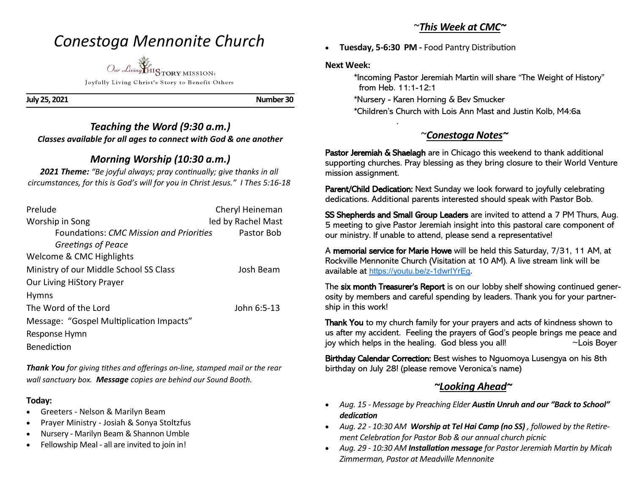# *Conestoga Mennonite Church*

*Our Living* HISTORY MISSION: Joyfully Living Christ's Story to Benefit Others

**July 25, 2021 Number 30** 

### *Teaching the Word (9:30 a.m.) Classes available for all ages to connect with God & one another*

# *Morning Worship (10:30 a.m.)*

*2021 Theme: "Be joyful always; pray continually; give thanks in all circumstances, for this is God's will for you in Christ Jesus." I Thes 5:16-18*

| Prelude                                  | Cheryl Heineman    |
|------------------------------------------|--------------------|
| Worship in Song                          | led by Rachel Mast |
| Foundations: CMC Mission and Priorities  | Pastor Bob         |
| Greetings of Peace                       |                    |
| Welcome & CMC Highlights                 |                    |
| Ministry of our Middle School SS Class   | Josh Beam          |
| <b>Our Living HiStory Prayer</b>         |                    |
| <b>Hymns</b>                             |                    |
| The Word of the Lord                     | John 6:5-13        |
| Message: "Gospel Multiplication Impacts" |                    |
| Response Hymn                            |                    |
| <b>Benediction</b>                       |                    |

*Thank You for giving tithes and offerings on-line, stamped mail or the rear wall sanctuary box. Message copies are behind our Sound Booth.*

### **Today:**

- Greeters Nelson & Marilyn Beam
- Prayer Ministry Josiah & Sonya Stoltzfus
- Nursery Marilyn Beam & Shannon Umble
- Fellowship Meal all are invited to join in!

### ~*This Week at CMC~*

• **Tuesday, 5-6:30 PM -** Food Pantry Distribution

#### **Next Week:**

.

 \*Incoming Pastor Jeremiah Martin will share "The Weight of History" from Heb. 11:1-12:1

\*Nursery - Karen Horning & Bev Smucker

\*Children's Church with Lois Ann Mast and Justin Kolb, M4:6a

# ~*Conestoga Notes~*

Pastor Jeremiah & Shaelagh are in Chicago this weekend to thank additional supporting churches. Pray blessing as they bring closure to their World Venture mission assignment.

Parent/Child Dedication: Next Sunday we look forward to joyfully celebrating dedications. Additional parents interested should speak with Pastor Bob.

SS Shepherds and Small Group Leaders are invited to attend a 7 PM Thurs, Aug. 5 meeting to give Pastor Jeremiah insight into this pastoral care component of our ministry. If unable to attend, please send a representative!

A memorial service for Marie Howe will be held this Saturday, 7/31, 11 AM, at Rockville Mennonite Church (Visitation at 10 AM). A live stream link will be available at [https://youtu.be/z](https://youtu.be/z-1dwrIYrEg)-1dwrIYrEg.

The six month Treasurer's Report is on our lobby shelf showing continued generosity by members and careful spending by leaders. Thank you for your partnership in this work!

Thank You to my church family for your prayers and acts of kindness shown to us after my accident. Feeling the prayers of God's people brings me peace and joy which helps in the healing. God bless you all! ~ \cois Boyer

Birthday Calendar Correction: Best wishes to Nguomoya Lusengya on his 8th birthday on July 28! (please remove Veronica's name)

## *~Looking Ahead~*

- *Aug. 15 - Message by Preaching Elder Austin Unruh and our "Back to School" dedication*
- *Aug. 22 - 10:30 AM Worship at Tel Hai Camp (no SS) , followed by the Retirement Celebration for Pastor Bob & our annual church picnic*
- *Aug. 29 - 10:30 AM Installation message for Pastor Jeremiah Martin by Micah Zimmerman, Pastor at Meadville Mennonite*